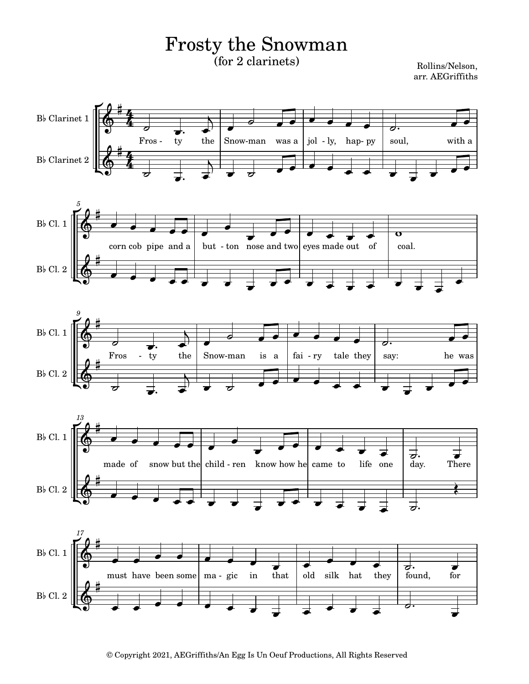## Frosty the Snowman (for 2 clarinets)

Rollins/Nelson, arr. AEGriffiths